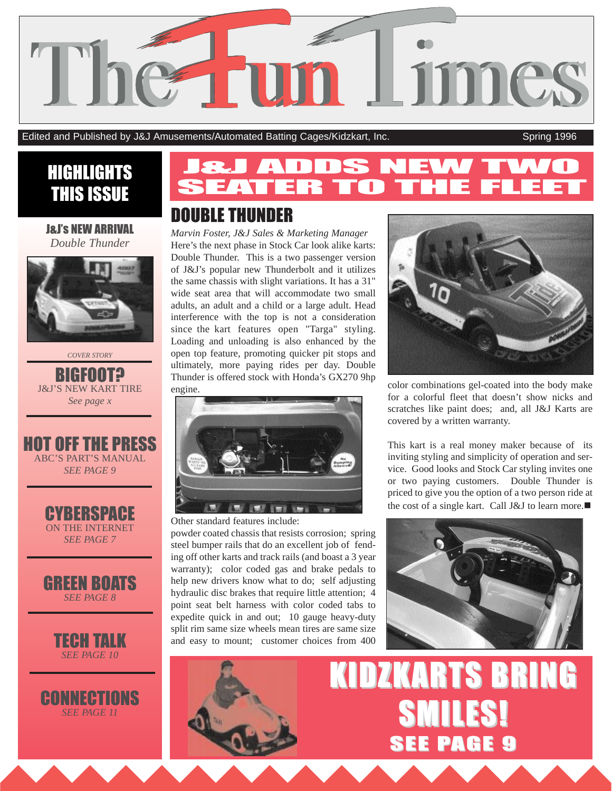

Edited and Published by J&J Amusements/Automated Batting Cages/Kidzkart, Inc. Spring 1996

# THIS ISSUE

#### J&Js NEW ARRIVAL *Double Thunder*



*COVER STORY*

BIGFOOT**?** J&J'S NEW KART TIRE *See page x*



CYBERSPACE ON THE INTERNET *SEE PAGE 7*





**CONNECTIONS** *SEE PAGE 11*

# EN MARINE Spring 1996 **HIGHLIGHTS SEATER TO THE FLEET**

## DOUBLE THUNDER

*Marvin Foster, J&J Sales & Marketing Manager* Here's the next phase in Stock Car look alike karts: Double Thunder. This is a two passenger version of J&J's popular new Thunderbolt and it utilizes the same chassis with slight variations. It has a 31" wide seat area that will accommodate two small adults, an adult and a child or a large adult. Head interference with the top is not a consideration since the kart features open "Targa" styling. Loading and unloading is also enhanced by the open top feature, promoting quicker pit stops and ultimately, more paying rides per day. Double Thunder is offered stock with Honda's GX270 9hp engine.



Other standard features include:

powder coated chassis that resists corrosion; spring steel bumper rails that do an excellent job of fending off other karts and track rails (and boast a 3 year warranty); color coded gas and brake pedals to help new drivers know what to do; self adjusting hydraulic disc brakes that require little attention; 4 point seat belt harness with color coded tabs to expedite quick in and out; 10 gauge heavy-duty split rim same size wheels mean tires are same size and easy to mount; customer choices from 400



color combinations gel-coated into the body make for a colorful fleet that doesn't show nicks and scratches like paint does; and, all J&J Karts are covered by a written warranty.

This kart is a real money maker because of its inviting styling and simplicity of operation and service. Good looks and Stock Car styling invites one or two paying customers. Double Thunder is priced to give you the option of a two person ride at the cost of a single kart. Call J&J to learn more. $\blacksquare$ 





# **KIDZKARTS BRING** SMILES! SEE PAGE 9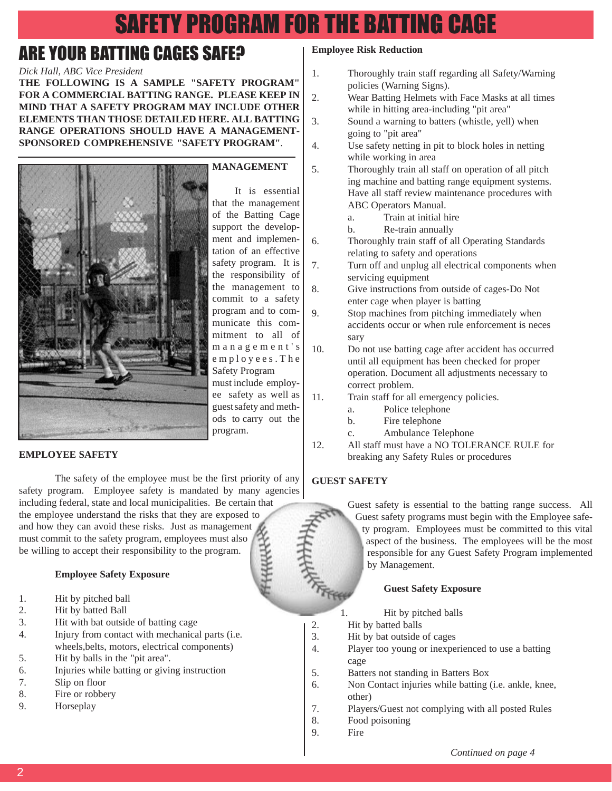# SAFETY PROGRAM FOR THE BATTING CAGE

## ARE YOUR BATTING CAGES SAFE?

## *Dick Hall, ABC Vice President*

**THE FOLLOWING IS A SAMPLE "SAFETY PROGRAM" FOR A COMMERCIAL BATTING RANGE. PLEASE KEEP IN MIND THAT A SAFETY PROGRAM MAY INCLUDE OTHER ELEMENTS THAN THOSE DETAILED HERE. ALL BATTING RANGE OPERATIONS SHOULD HAVE A MANAGEMENT-SPONSORED COMPREHENSIVE "SAFETY PROGRAM"**.



#### **EMPLOYEE SAFETY**

The safety of the employee must be the first priority of any safety program. Employee safety is mandated by many agencies including federal, state and local municipalities. Be certain that

the employee understand the risks that they are exposed to and how they can avoid these risks. Just as management must commit to the safety program, employees must also be willing to accept their responsibility to the program.

#### **Employee Safety Exposure**

- 1. Hit by pitched ball
- 2. Hit by batted Ball
- 3. Hit with bat outside of batting cage
- 4. Injury from contact with mechanical parts (i.e. wheels,belts, motors, electrical components)
- 5. Hit by balls in the "pit area".
- 6. Injuries while batting or giving instruction
- 7. Slip on floor
- 8. Fire or robbery
- 9. Horseplay

#### **Employee Risk Reduction**

- 1. Thoroughly train staff regarding all Safety/Warning policies (Warning Signs).
- 2. Wear Batting Helmets with Face Masks at all times while in hitting area-including "pit area"
- 3. Sound a warning to batters (whistle, yell) when going to "pit area"
- 4. Use safety netting in pit to block holes in netting while working in area
- 5. Thoroughly train all staff on operation of all pitch ing machine and batting range equipment systems. Have all staff review maintenance procedures with ABC Operators Manual.
	- a. Train at initial hire
	- b. Re-train annually
- 6. Thoroughly train staff of all Operating Standards relating to safety and operations
- 7. Turn off and unplug all electrical components when servicing equipment
- 8. Give instructions from outside of cages-Do Not enter cage when player is batting
- 9. Stop machines from pitching immediately when accidents occur or when rule enforcement is neces sary
- 10. Do not use batting cage after accident has occurred until all equipment has been checked for proper operation. Document all adjustments necessary to correct problem.
- 11. Train staff for all emergency policies.
	- a. Police telephone
	- b. Fire telephone
	- c. Ambulance Telephone
- 12. All staff must have a NO TOLERANCE RULE for breaking any Safety Rules or procedures

## **GUEST SAFETY**

Guest safety is essential to the batting range success. All Guest safety programs must begin with the Employee safety program. Employees must be committed to this vital aspect of the business. The employees will be the most responsible for any Guest Safety Program implemented by Management.

#### **Guest Safety Exposure**

- 1. Hit by pitched balls
- 2. Hit by batted balls
- 3. Hit by bat outside of cages
- 4. Player too young or inexperienced to use a batting cage
- 5. Batters not standing in Batters Box
- 6. Non Contact injuries while batting (i.e. ankle, knee, other)
- 7. Players/Guest not complying with all posted Rules
- 8. Food poisoning
- 9. Fire

 $\mathfrak{D}$ 

It is essential that the management

of the Batting Cage support the development and implementation of an effective safety program. It is the responsibility of the management to commit to a safety program and to communicate this commitment to all of management's employees.The Safety Program must include employee safety as well as guestsafety and methods to carry out the program.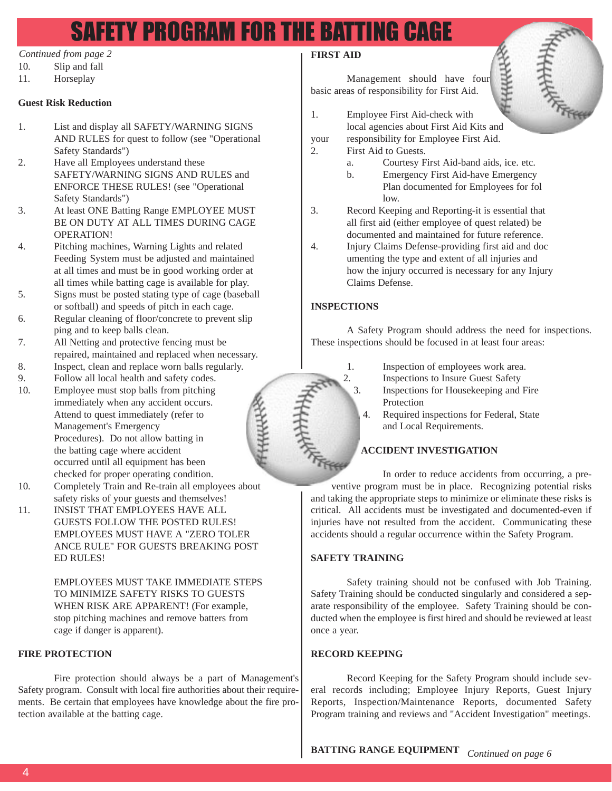# SAFETY PROGRAM FOR THE BATTING CAGE

#### *Continued from page 2*

- 10. Slip and fall
- 11. Horseplay

### **Guest Risk Reduction**

- 1. List and display all SAFETY/WARNING SIGNS AND RULES for quest to follow (see "Operational Safety Standards")
- 2. Have all Employees understand these SAFETY/WARNING SIGNS AND RULES and ENFORCE THESE RULES! (see "Operational Safety Standards")
- 3. At least ONE Batting Range EMPLOYEE MUST BE ON DUTY AT ALL TIMES DURING CAGE OPERATION!
- 4. Pitching machines, Warning Lights and related Feeding System must be adjusted and maintained at all times and must be in good working order at all times while batting cage is available for play.
- 5. Signs must be posted stating type of cage (baseball or softball) and speeds of pitch in each cage.
- 6. Regular cleaning of floor/concrete to prevent slip ping and to keep balls clean.
- 7. All Netting and protective fencing must be repaired, maintained and replaced when necessary.
- 8. Inspect, clean and replace worn balls regularly.
- 9. Follow all local health and safety codes.
- 10. Employee must stop balls from pitching immediately when any accident occurs. Attend to quest immediately (refer to Management's Emergency Procedures). Do not allow batting in the batting cage where accident occurred until all equipment has been checked for proper operating condition.
- 10. Completely Train and Re-train all employees about safety risks of your guests and themselves!
- 11. INSIST THAT EMPLOYEES HAVE ALL GUESTS FOLLOW THE POSTED RULES! EMPLOYEES MUST HAVE A "ZERO TOLER ANCE RULE" FOR GUESTS BREAKING POST ED RULES!

EMPLOYEES MUST TAKE IMMEDIATE STEPS TO MINIMIZE SAFETY RISKS TO GUESTS WHEN RISK ARE APPARENT! (For example, stop pitching machines and remove batters from cage if danger is apparent).

#### **FIRE PROTECTION**

Fire protection should always be a part of Management's Safety program. Consult with local fire authorities about their requirements. Be certain that employees have knowledge about the fire protection available at the batting cage.

### **FIRST AID**

Management should have four basic areas of responsibility for First Aid.



- your responsibility for Employee First Aid.
- 2. First Aid to Guests.
	- a. Courtesy First Aid-band aids, ice. etc.
	- b. Emergency First Aid-have Emergency Plan documented for Employees for fol low.
- 3. Record Keeping and Reporting-it is essential that all first aid (either employee of quest related) be documented and maintained for future reference.
- 4. Injury Claims Defense-providing first aid and doc umenting the type and extent of all injuries and how the injury occurred is necessary for any Injury Claims Defense.

## **INSPECTIONS**

A Safety Program should address the need for inspections. These inspections should be focused in at least four areas:



- 1. Inspection of employees work area. 2. Inspections to Insure Guest Safety 3. Inspections for Housekeeping and Fire Protection
	- 4. Required inspections for Federal, State and Local Requirements.

## **ACCIDENT INVESTIGATION**

In order to reduce accidents from occurring, a preventive program must be in place. Recognizing potential risks and taking the appropriate steps to minimize or eliminate these risks is critical. All accidents must be investigated and documented-even if injuries have not resulted from the accident. Communicating these accidents should a regular occurrence within the Safety Program.

#### **SAFETY TRAINING**

Safety training should not be confused with Job Training. Safety Training should be conducted singularly and considered a separate responsibility of the employee. Safety Training should be conducted when the employee is first hired and should be reviewed at least once a year.

#### **RECORD KEEPING**

Record Keeping for the Safety Program should include several records including; Employee Injury Reports, Guest Injury Reports, Inspection/Maintenance Reports, documented Safety Program training and reviews and "Accident Investigation" meetings.

**BATTING RANGE EQUIPMENT**  *Continued on page 6*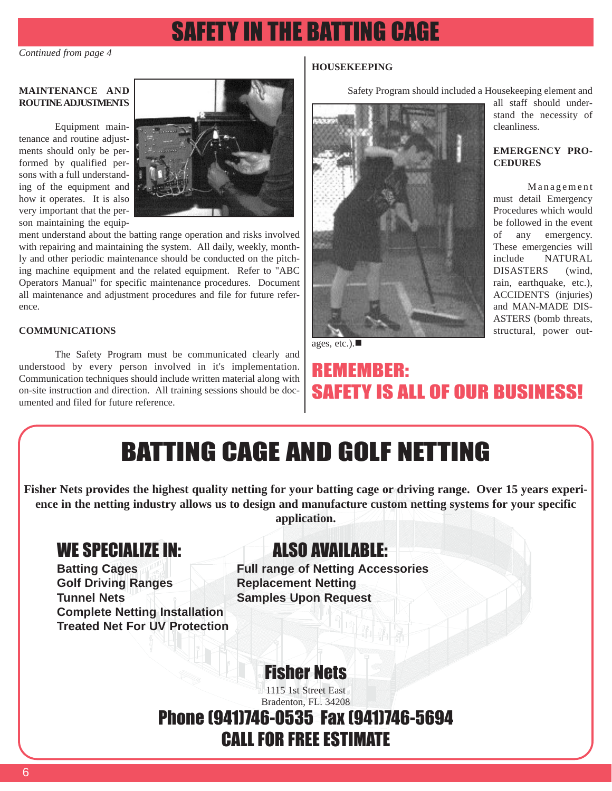# SAFETY IN THE BATTING CAGE

*Continued from page 4*

#### **MAINTENANCE AND ROUTINE ADJUSTMENTS**

Equipment main-

tenance and routine adjustments should only be performed by qualified persons with a full understanding of the equipment and how it operates. It is also very important that the person maintaining the equip-



ment understand about the batting range operation and risks involved with repairing and maintaining the system. All daily, weekly, monthly and other periodic maintenance should be conducted on the pitching machine equipment and the related equipment. Refer to "ABC Operators Manual" for specific maintenance procedures. Document all maintenance and adjustment procedures and file for future reference.

## **COMMUNICATIONS**

The Safety Program must be communicated clearly and understood by every person involved in it's implementation. Communication techniques should include written material along with on-site instruction and direction. All training sessions should be documented and filed for future reference.

## **HOUSEKEEPING**

Safety Program should included a Housekeeping element and all staff should under-

stand the necessity of

**EMERGENCY PRO-**

must detail Emergency Procedures which would be followed in the event of any emergency. These emergencies will include NATURAL DISASTERS (wind, rain, earthquake, etc.), ACCIDENTS (injuries) and MAN-MADE DIS-ASTERS (bomb threats, structural, power out-

Management

cleanliness.

**CEDURES**



ages, etc.). $\blacksquare$ 

## REMEMBER: SAFETY IS ALL OF OUR BUSINESS!

# BATTING CAGE AND GOLF NETTING

**Fisher Nets provides the highest quality netting for your batting cage or driving range. Over 15 years experience in the netting industry allows us to design and manufacture custom netting systems for your specific application.** 

## WE SPECIALIZE IN: ALSO AVAILABLE:

**Golf Driving Ranges Replacement Netting Tunnel Nets Samples Upon Request Complete Netting Installation Treated Net For UV Protection**

**Batting Cages Full range of Netting Accessories**

Fisher Nets

1115 1st Street East Bradenton, FL. 34208

## Phone (941)746-0535 Fax (941)746-5694 CALL FOR FREE ESTIMATE

6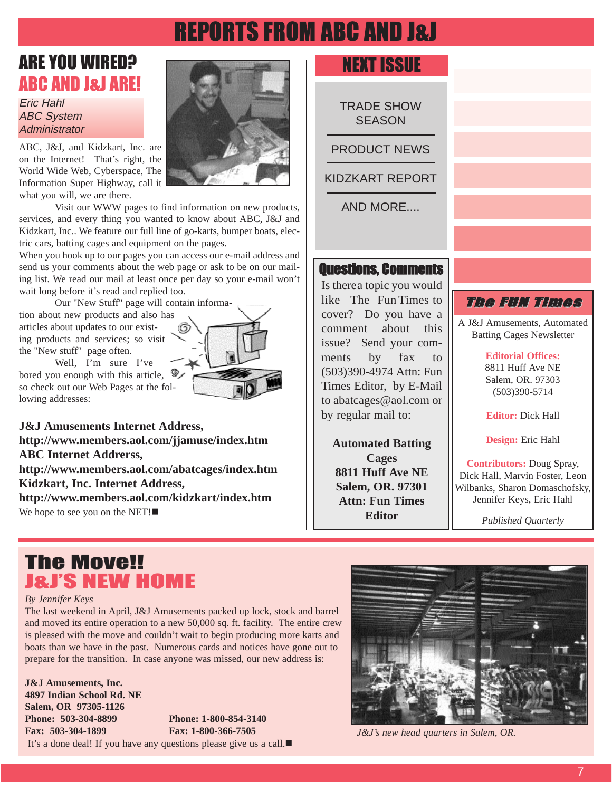# REPORTS FROM ABC AND J&J

## ARE YOU WIRED? ABC AND J&J ARE!

Eric Hahl ABC System **Administrator** 

ABC, J&J, and Kidzkart, Inc. are on the Internet! That's right, the World Wide Web, Cyberspace, The Information Super Highway, call it what you will, we are there.



When you hook up to our pages you can access our e-mail address and send us your comments about the web page or ask to be on our mailing list. We read our mail at least once per day so your e-mail won't wait long before it's read and replied too.

Our "New Stuff" page will contain informa-

tion about new products and also has articles about updates to our existing products and services; so visit the "New stuff" page often.

Well, I'm sure I've bored you enough with this article, so check out our Web Pages at the following addresses:



## NEXT ISSUE

TRADE SHOW **SEASON** 

PRODUCT NEWS

KIDZKART REPORT

AND MORE....

## Questions, Comments

Is therea topic you would like The Fun Times to cover? Do you have a comment about this issue? Send your comments by fax to (503)390-4974 Attn: Fun Times Editor, by E-Mail to abatcages@aol.com or by regular mail to:

**Automated Batting Cages 8811 Huff Ave NE Salem, OR. 97301 Attn: Fun Times Editor**

## The FUN Times

A J&J Amusements, Automated Batting Cages Newsletter

**Editorial Offices:**

8811 Huff Ave NE Salem, OR. 97303 (503)390-5714

**Editor:** Dick Hall

**Design:** Eric Hahl

**Contributors:** Doug Spray, Dick Hall, Marvin Foster, Leon Wilbanks, Sharon Domaschofsky, Jennifer Keys, Eric Hahl

*Published Quarterly*

## The Move!! J&JS NEW HOME

#### *By Jennifer Keys*

The last weekend in April, J&J Amusements packed up lock, stock and barrel and moved its entire operation to a new 50,000 sq. ft. facility. The entire crew is pleased with the move and couldn't wait to begin producing more karts and boats than we have in the past. Numerous cards and notices have gone out to prepare for the transition. In case anyone was missed, our new address is:

**J&J Amusements, Inc. 4897 Indian School Rd. NE Salem, OR 97305-1126 Phone: 503-304-8899 Phone: 1-800-854-3140 Fax: 503-304-1899 Fax: 1-800-366-7505**

It's a done deal! If you have any questions please give us a call. $\blacksquare$ 



*J&J's new head quarters in Salem, OR.*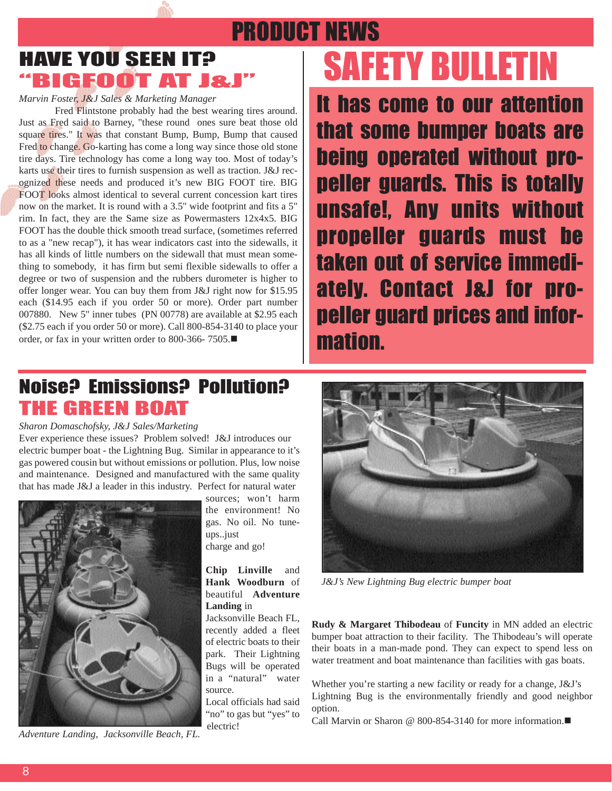# PRODUCT NEWS HAVE YOU SEEN IT? BIGFOOT AT J&J

*Marvin Foster, J&J Sales & Marketing Manager*

Fred Flintstone probably had the best wearing tires around. Just as Fred said to Barney, "these round ones sure beat those old square tires." It was that constant Bump, Bump, Bump that caused Fred to change. Go-karting has come a long way since those old stone tire days. Tire technology has come a long way too. Most of today's karts use their tires to furnish suspension as well as traction. J&J recognized these needs and produced it's new BIG FOOT tire. BIG FOOT looks almost identical to several current concession kart tires now on the market. It is round with a 3.5" wide footprint and fits a 5" rim. In fact, they are the Same size as Powermasters 12x4x5. BIG FOOT has the double thick smooth tread surface, (sometimes referred to as a "new recap"), it has wear indicators cast into the sidewalls, it has all kinds of little numbers on the sidewall that must mean something to somebody, it has firm but semi flexible sidewalls to offer a degree or two of suspension and the rubbers durometer is higher to offer longer wear. You can buy them from J&J right now for \$15.95 each (\$14.95 each if you order 50 or more). Order part number 007880. New 5" inner tubes (PN 00778) are available at \$2.95 each (\$2.75 each if you order 50 or more). Call 800-854-3140 to place your order, or fax in your written order to 800-366- 7505. $\blacksquare$ 

# SAFETY BULLETIN

It has come to our attention that some bumper boats are being operated without propeller guards. This is totally unsafe!, Any units without propeller guards must be taken out of service immediately. Contact J&J for propeller guard prices and information.

## Noise? Emissions? Pollution? THE GREEN BOAT

#### *Sharon Domaschofsky, J&J Sales/Marketing*

Ever experience these issues? Problem solved! J&J introduces our electric bumper boat - the Lightning Bug. Similar in appearance to it's gas powered cousin but without emissions or pollution. Plus, low noise and maintenance. Designed and manufactured with the same quality that has made J&J a leader in this industry. Perfect for natural water



*Adventure Landing, Jacksonville Beach, FL.*

sources; won't harm the environment! No gas. No oil. No tuneups..just charge and go!

#### **Chip Linville** and **Hank Woodburn** of beautiful **Adventure Landing** in

Jacksonville Beach FL, recently added a fleet of electric boats to their park. Their Lightning Bugs will be operated in a "natural" water source.

Local officials had said "no" to gas but "yes" to electric!



*J&J's New Lightning Bug electric bumper boat*

**Rudy & Margaret Thibodeau** of **Funcity** in MN added an electric bumper boat attraction to their facility. The Thibodeau's will operate their boats in a man-made pond. They can expect to spend less on water treatment and boat maintenance than facilities with gas boats.

Whether you're starting a new facility or ready for a change, J&J's Lightning Bug is the environmentally friendly and good neighbor option.

Call Marvin or Sharon @ 800-854-3140 for more information. $\blacksquare$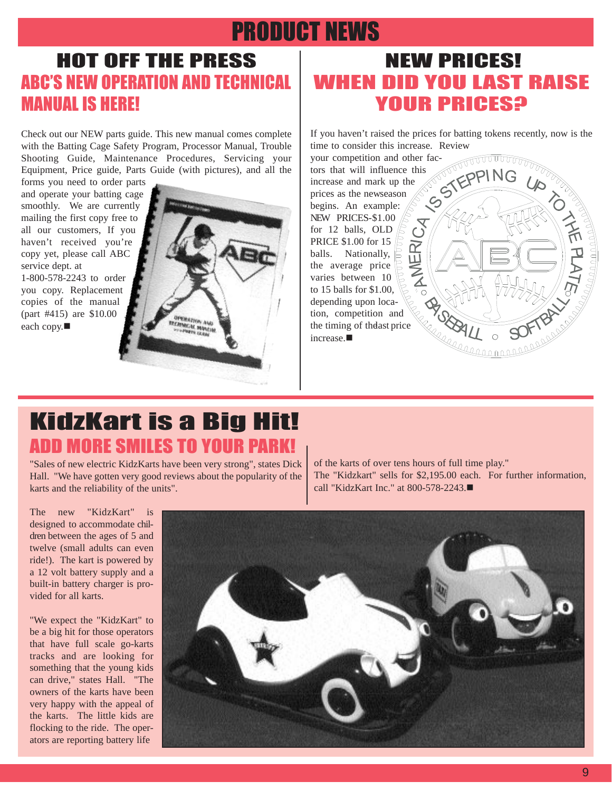## PRODUCT NEWS

## HOT OFF THE PRESS **ABC'S NEW OPERATION AND TECHNICAL** MANUAL IS HERE!

Check out our NEW parts guide. This new manual comes complete with the Batting Cage Safety Program, Processor Manual, Trouble Shooting Guide, Maintenance Procedures, Servicing your Equipment, Price guide, Parts Guide (with pictures), and all the

forms you need to order parts and operate your batting cage smoothly. We are currently mailing the first copy free to all our customers, If you haven't received you're copy yet, please call ABC service dept. at 1-800-578-2243 to order you copy. Replacement copies of the manual (part #415) are \$10.00 each copy. $\blacksquare$ 



## NEW PRICES! WHEN DID YOU LAST RAISE YOUR PRICES?

If you haven't raised the prices for batting tokens recently, now is the time to consider this increase. Review

your competition and other fac-**REACTION OF THE REAL PROPERTY** tors that will influence this increase and mark up the prices as the newseason begins. An example: **THE PLATE ASK** NEW PRICES-\$1.00 for 12 balls, OLD  $\#$ PRICE \$1.00 for 15 ER<sub>I</sub> balls. Nationally, the average price  $\mathbf{z}$ varies between 10 to 15 balls for \$1.00, to 15 bans for  $\phi_1$ ,  $\phi_2$ ,  $\phi_3$ ,  $\phi_4$ ,  $\phi_5$ ,  $\phi_6$  depending upon loca-<br>tion, competition and<br>the timing of the ast price tion, competition and the timing of thelast price  $i$ ncrease. $\blacksquare$ 

## KidzKart is a Big Hit! ADD MORE SMILES TO YOUR PARK!

"Sales of new electric KidzKarts have been very strong", states Dick Hall. "We have gotten very good reviews about the popularity of the karts and the reliability of the units".

of the karts of over tens hours of full time play." The "Kidzkart" sells for \$2,195.00 each. For further information, call "KidzKart Inc." at 800-578-2243. $\blacksquare$ 

The new "KidzKart" is designed to accommodate children between the ages of 5 and twelve (small adults can even ride!). The kart is powered by a 12 volt battery supply and a built-in battery charger is provided for all karts.

"We expect the "KidzKart" to be a big hit for those operators that have full scale go-karts tracks and are looking for something that the young kids can drive," states Hall. "The owners of the karts have been very happy with the appeal of the karts. The little kids are flocking to the ride. The operators are reporting battery life

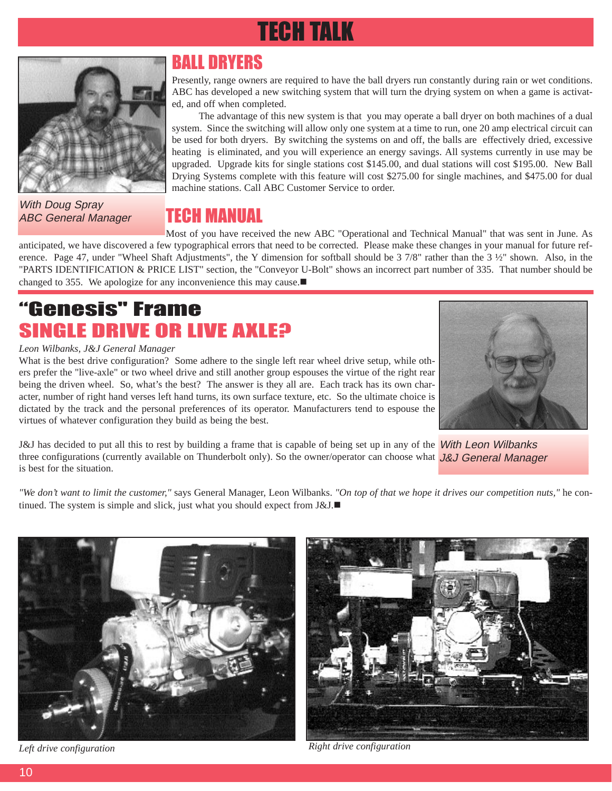# TECH TALK



With Doug Spray ABC General Manager

## BALL DRYERS

Presently, range owners are required to have the ball dryers run constantly during rain or wet conditions. ABC has developed a new switching system that will turn the drying system on when a game is activated, and off when completed.

The advantage of this new system is that you may operate a ball dryer on both machines of a dual system. Since the switching will allow only one system at a time to run, one 20 amp electrical circuit can be used for both dryers. By switching the systems on and off, the balls are effectively dried, excessive heating is eliminated, and you will experience an energy savings. All systems currently in use may be upgraded. Upgrade kits for single stations cost \$145.00, and dual stations will cost \$195.00. New Ball Drying Systems complete with this feature will cost \$275.00 for single machines, and \$475.00 for dual machine stations. Call ABC Customer Service to order.

## TECH MANUAL

Most of you have received the new ABC "Operational and Technical Manual" that was sent in June. As anticipated, we have discovered a few typographical errors that need to be corrected. Please make these changes in your manual for future reference. Page 47, under "Wheel Shaft Adjustments", the Y dimension for softball should be 3 7/8" rather than the 3 ½" shown. Also, in the "PARTS IDENTIFICATION & PRICE LIST" section, the "Conveyor U-Bolt" shows an incorrect part number of 335. That number should be changed to 355. We apologize for any inconvenience this may cause. $\blacksquare$ 

## Genesis" Frame SINGLE DRIVE OR LIVE AXLE?

### *Leon Wilbanks, J&J General Manager*

What is the best drive configuration? Some adhere to the single left rear wheel drive setup, while others prefer the "live-axle" or two wheel drive and still another group espouses the virtue of the right rear being the driven wheel. So, what's the best? The answer is they all are. Each track has its own character, number of right hand verses left hand turns, its own surface texture, etc. So the ultimate choice is dictated by the track and the personal preferences of its operator. Manufacturers tend to espouse the virtues of whatever configuration they build as being the best.



J&J has decided to put all this to rest by building a frame that is capable of being set up in any of the *With Leon Wilbanks* three configurations (currently available on Thunderbolt only). So the owner/operator can choose what J&J General Manager is best for the situation.

*"We don't want to limit the customer,"* says General Manager, Leon Wilbanks. *"On top of that we hope it drives our competition nuts,"* he continued. The system is simple and slick, just what you should expect from  $J&J.\blacksquare$ 





*Left drive configuration Right drive configuration Right drive configuration*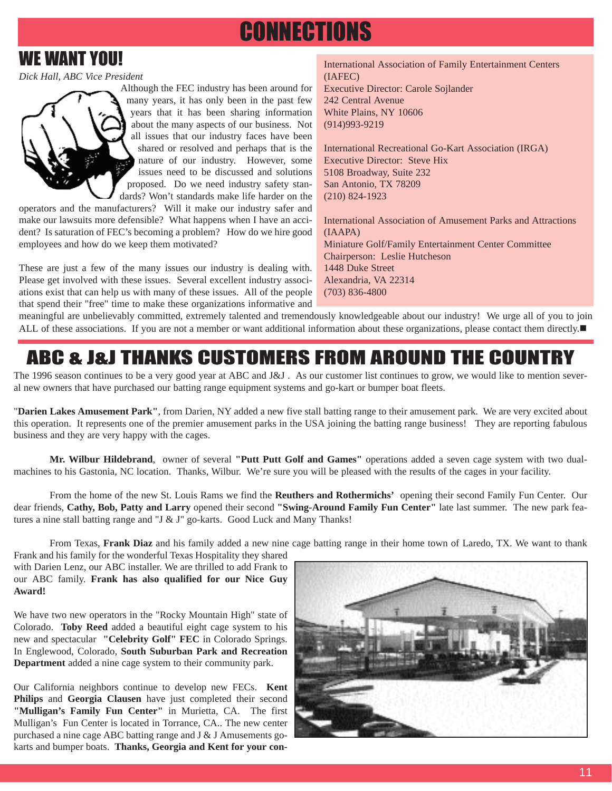# **CONNECTIONS**

## WE WANT YOU!

*Dick Hall, ABC Vice President*

Although the FEC industry has been around for many years, it has only been in the past few years that it has been sharing information about the many aspects of our business. Not all issues that our industry faces have been shared or resolved and perhaps that is the nature of our industry. However, some issues need to be discussed and solutions proposed. Do we need industry safety standards? Won't standards make life harder on the

operators and the manufacturers? Will it make our industry safer and make our lawsuits more defensible? What happens when I have an accident? Is saturation of FEC's becoming a problem? How do we hire good employees and how do we keep them motivated?

These are just a few of the many issues our industry is dealing with. Please get involved with these issues. Several excellent industry associations exist that can help us with many of these issues. All of the people that spend their "free" time to make these organizations informative and International Association of Family Entertainment Centers (IAFEC) Executive Director: Carole Sojlander 242 Central Avenue White Plains, NY 10606 (914)993-9219

International Recreational Go-Kart Association (IRGA) Executive Director: Steve Hix 5108 Broadway, Suite 232 San Antonio, TX 78209 (210) 824-1923

International Association of Amusement Parks and Attractions (IAAPA) Miniature Golf/Family Entertainment Center Committee Chairperson: Leslie Hutcheson 1448 Duke Street Alexandria, VA 22314 (703) 836-4800

meaningful are unbelievably committed, extremely talented and tremendously knowledgeable about our industry! We urge all of you to join ALL of these associations. If you are not a member or want additional information about these organizations, please contact them directly.

## ABC & J&J THANKS CUSTOMERS FROM AROUND THE COUNTRY

The 1996 season continues to be a very good year at ABC and J&J. As our customer list continues to grow, we would like to mention several new owners that have purchased our batting range equipment systems and go-kart or bumper boat fleets.

"**Darien Lakes Amusement Park"**, from Darien, NY added a new five stall batting range to their amusement park. We are very excited about this operation. It represents one of the premier amusement parks in the USA joining the batting range business! They are reporting fabulous business and they are very happy with the cages.

**Mr. Wilbur Hildebrand**, owner of several **"Putt Putt Golf and Games"** operations added a seven cage system with two dualmachines to his Gastonia, NC location. Thanks, Wilbur. We're sure you will be pleased with the results of the cages in your facility.

From the home of the new St. Louis Rams we find the **Reuthers and Rothermichs'** opening their second Family Fun Center. Our dear friends, **Cathy, Bob, Patty and Larry** opened their second **"Swing-Around Family Fun Center"** late last summer. The new park features a nine stall batting range and "J & J" go-karts. Good Luck and Many Thanks!

From Texas, **Frank Diaz** and his family added a new nine cage batting range in their home town of Laredo, TX. We want to thank

Frank and his family for the wonderful Texas Hospitality they shared with Darien Lenz, our ABC installer. We are thrilled to add Frank to our ABC family. **Frank has also qualified for our Nice Guy Award!**

We have two new operators in the "Rocky Mountain High" state of Colorado. **Toby Reed** added a beautiful eight cage system to his new and spectacular **"Celebrity Golf" FEC** in Colorado Springs. In Englewood, Colorado, **South Suburban Park and Recreation Department** added a nine cage system to their community park.

Our California neighbors continue to develop new FECs. **Kent Philips** and **Georgia Clausen** have just completed their second **"Mulligan's Family Fun Center"** in Murietta, CA. The first Mulligan's Fun Center is located in Torrance, CA.. The new center purchased a nine cage ABC batting range and J & J Amusements gokarts and bumper boats. **Thanks, Georgia and Kent for your con-**